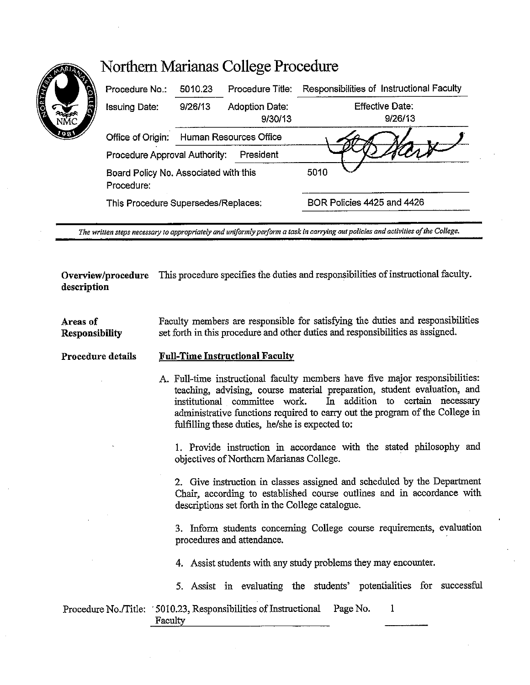| 8    | Procedure No.:                                      | 5010.23                | Procedure Title:                 | Responsibilities of Instructional Faculty |  |
|------|-----------------------------------------------------|------------------------|----------------------------------|-------------------------------------------|--|
| R    | <b>Issuing Date:</b>                                | 9/26/13                | <b>Adoption Date:</b><br>9/30/13 | Effective Date:<br>9/26/13                |  |
| 1981 | Office of Origin:                                   | Human Resources Office |                                  |                                           |  |
|      | President<br>Procedure Approval Authority:          |                        |                                  |                                           |  |
|      | Board Policy No. Associated with this<br>Procedure: |                        |                                  | 5010                                      |  |
|      | This Procedure Supersedes/Replaces:                 |                        |                                  | BOR Policies 4425 and 4426                |  |

*The written steps necessary to appropriately and uniformly perform a task in carrying out policies and activities of !he College.* 

**Overview/procedure** This procedure specifies the duties and responsibilities of instructional faculty. **description** 

**Areas of Responsibility**  Faculty members are responsible for satisfying the duties and responsibilities set forth in this procedure and other duties and responsibilities as assigned.

## **Procedure details Full-Time Instructional Faculty**

A Full-time instructional faculty members have five major responsibilities: teaching, advising, course material preparation, student evaluation, and<br>institutional committee work. In addition to certain necessary In addition to certain necessary administrative functions required to carry out the program of the College in fulfilling these duties, he/she is expected to:

1. Provide instruction in accordance with the stated philosophy and objectives of Northern Marianas College.

2. Give instruction in classes assigned and scheduled by the Department Chair, according to established course outlines and in accordance with descriptions set forth in the College catalogue.

3. Inform students concerning College course requirements, evaluation procedures and attendance.

4. Assist students with any study problems they may encounter.

5. Assist in evaluating the students' potentialities for successful

Procedure No./Title: '5010.23, Responsibilities of Instructional Page No.  $\mathbf{1}$ Faculty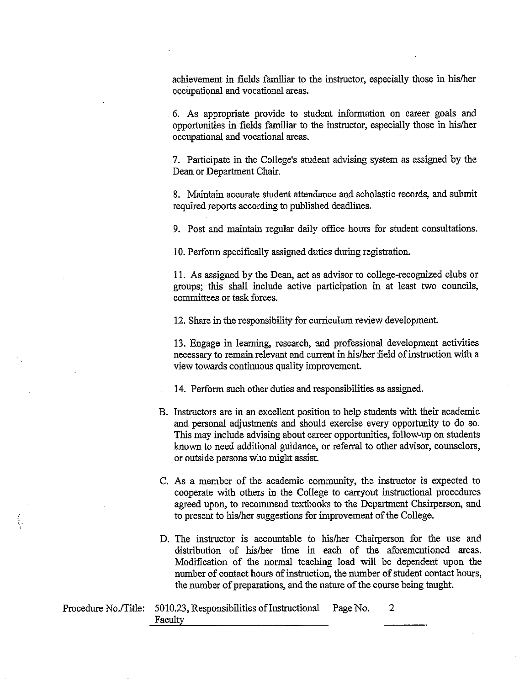achievement in fields familiar to the instructor, especially those in his/her occupational and vocational areas.

6. As appropriate provide to student information on career goals and opportunities in fields familiar to the instructor, especially those in his/her occupational and vocational areas.

7. Participate in the College's student advising system as assigned by the Dean or Department Chair.

8. Maintain accurate student attendance and scholastic records, and submit required reports according to published deadlines.

9. Post and maintain regular daily office hours for student consultations.

10. Perform specifically assigned duties during registration.

11. As assigned by the Dean, act as advisor to college-recognized clubs or groups; this shall include active participation in at least two councils, committees or task forces.

12. Share in the responsibility for curriculum review development.

13. Engage in learning, research, and professional development activities necessary to remain relevant and current in his/her field of instruction with a view towards continuous quality improvement.

14. Perform such other duties and responsibilities as assigned.

- B. Instructors are in an excellent position to help students with their academic and personal adjustments and should exercise every opportunity to do so. This may include advising about career opportunities, follow-up on students known to need additional guidance, or referral to other advisor, counselors, or outside persons who might assist.
- C. As a member of the academic community, the instructor is expected to cooperate with others in the College to carryout instructional procedures agreed upon, to recommend textbooks to the Department Chairperson, and to present to his/her suggestions for improvement of the College.
- D. The instructor is accountable to his/her Chairperson for the use and distribution of his/her time in each of the aforementioned areas. Modification of the normal teaching load will be dependent upon the number of contact hours of instruction, the number of student contact hours, the number of preparations, and the nature of the course being taught.

| Procedure No./Title: 5010.23, Responsibilities of Instructional | Page No. |  |
|-----------------------------------------------------------------|----------|--|
| Faculty                                                         |          |  |